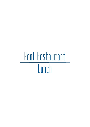## Pool Restaurant Lunch